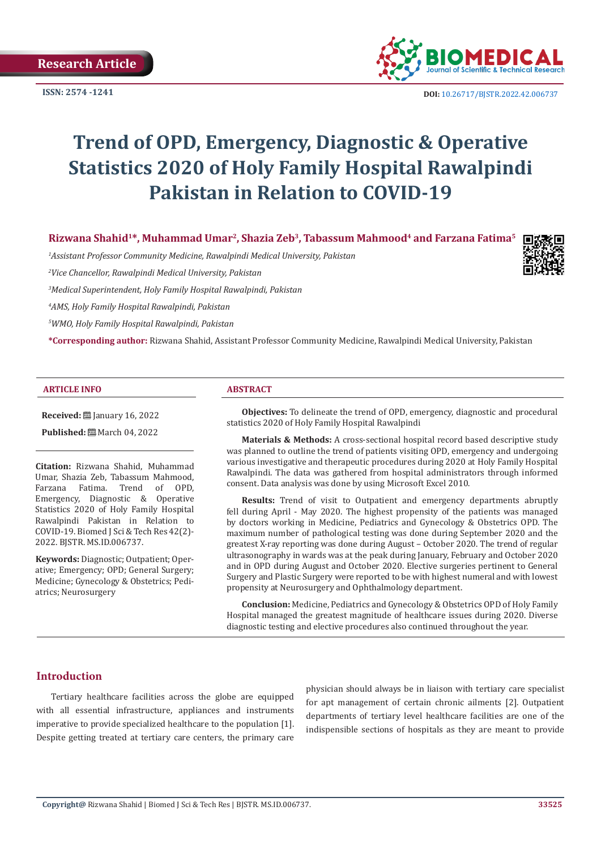

**ISSN:** 2574 -1241 **DOI:** [10.26717/BJSTR.2022.42.006737](https://dx.doi.org/10.26717/BJSTR.2022.42.006737)

# **Trend of OPD, Emergency, Diagnostic & Operative Statistics 2020 of Holy Family Hospital Rawalpindi Pakistan in Relation to COVID-19**

**Rizwana Shahid1\*, Muhammad Umar2, Shazia Zeb3, Tabassum Mahmood4 and Farzana Fatima5**

*1 Assistant Professor Community Medicine, Rawalpindi Medical University, Pakistan*

*2 Vice Chancellor, Rawalpindi Medical University, Pakistan*

*3 Medical Superintendent, Holy Family Hospital Rawalpindi, Pakistan*

*4 AMS, Holy Family Hospital Rawalpindi, Pakistan*

*5 WMO, Holy Family Hospital Rawalpindi, Pakistan*

**\*Corresponding author:** Rizwana Shahid, Assistant Professor Community Medicine, Rawalpindi Medical University, Pakistan

#### **ARTICLE INFO ABSTRACT**

**Received: ■ January 16, 2022** 

**Published:** 圖 March 04, 2022

**Citation:** Rizwana Shahid, Muhammad Umar, Shazia Zeb, Tabassum Mahmood, Farzana Fatima. Trend of Emergency, Diagnostic & Operative Statistics 2020 of Holy Family Hospital Rawalpindi Pakistan in Relation to COVID-19. Biomed J Sci & Tech Res 42(2)- 2022. BJSTR. MS.ID.006737.

**Keywords:** Diagnostic; Outpatient; Operative; Emergency; OPD; General Surgery; Medicine; Gynecology & Obstetrics; Pediatrics; Neurosurgery

**Objectives:** To delineate the trend of OPD, emergency, diagnostic and procedural statistics 2020 of Holy Family Hospital Rawalpindi

**Materials & Methods:** A cross-sectional hospital record based descriptive study was planned to outline the trend of patients visiting OPD, emergency and undergoing various investigative and therapeutic procedures during 2020 at Holy Family Hospital Rawalpindi. The data was gathered from hospital administrators through informed consent. Data analysis was done by using Microsoft Excel 2010.

**Results:** Trend of visit to Outpatient and emergency departments abruptly fell during April - May 2020. The highest propensity of the patients was managed by doctors working in Medicine, Pediatrics and Gynecology & Obstetrics OPD. The maximum number of pathological testing was done during September 2020 and the greatest X-ray reporting was done during August – October 2020. The trend of regular ultrasonography in wards was at the peak during January, February and October 2020 and in OPD during August and October 2020. Elective surgeries pertinent to General Surgery and Plastic Surgery were reported to be with highest numeral and with lowest propensity at Neurosurgery and Ophthalmology department.

**Conclusion:** Medicine, Pediatrics and Gynecology & Obstetrics OPD of Holy Family Hospital managed the greatest magnitude of healthcare issues during 2020. Diverse diagnostic testing and elective procedures also continued throughout the year.

#### **Introduction**

Tertiary healthcare facilities across the globe are equipped with all essential infrastructure, appliances and instruments imperative to provide specialized healthcare to the population [1]. Despite getting treated at tertiary care centers, the primary care

physician should always be in liaison with tertiary care specialist for apt management of certain chronic ailments [2]. Outpatient departments of tertiary level healthcare facilities are one of the indispensible sections of hospitals as they are meant to provide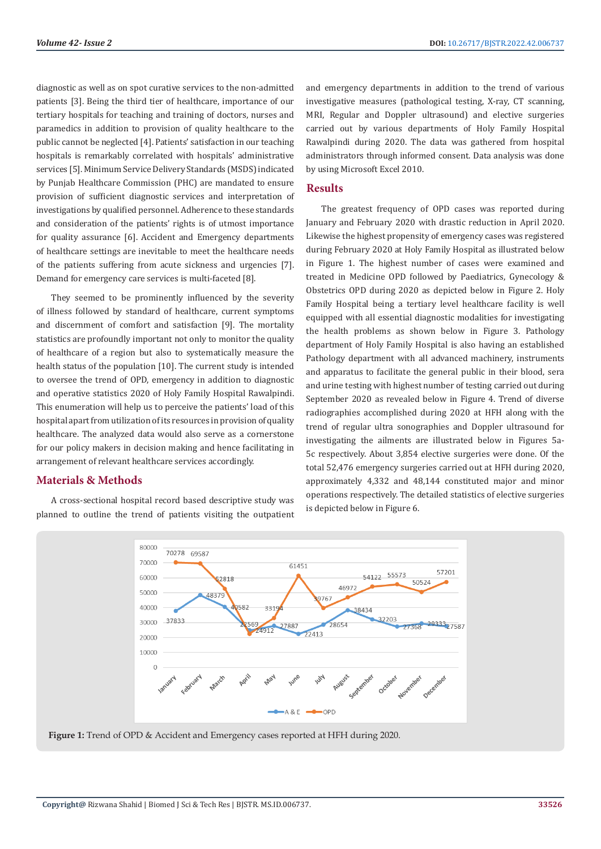diagnostic as well as on spot curative services to the non-admitted patients [3]. Being the third tier of healthcare, importance of our tertiary hospitals for teaching and training of doctors, nurses and paramedics in addition to provision of quality healthcare to the public cannot be neglected [4]. Patients' satisfaction in our teaching hospitals is remarkably correlated with hospitals' administrative services [5]. Minimum Service Delivery Standards (MSDS) indicated by Punjab Healthcare Commission (PHC) are mandated to ensure provision of sufficient diagnostic services and interpretation of investigations by qualified personnel. Adherence to these standards and consideration of the patients' rights is of utmost importance for quality assurance [6]. Accident and Emergency departments of healthcare settings are inevitable to meet the healthcare needs of the patients suffering from acute sickness and urgencies [7]. Demand for emergency care services is multi-faceted [8].

They seemed to be prominently influenced by the severity of illness followed by standard of healthcare, current symptoms and discernment of comfort and satisfaction [9]. The mortality statistics are profoundly important not only to monitor the quality of healthcare of a region but also to systematically measure the health status of the population [10]. The current study is intended to oversee the trend of OPD, emergency in addition to diagnostic and operative statistics 2020 of Holy Family Hospital Rawalpindi. This enumeration will help us to perceive the patients' load of this hospital apart from utilization of its resources in provision of quality healthcare. The analyzed data would also serve as a cornerstone for our policy makers in decision making and hence facilitating in arrangement of relevant healthcare services accordingly.

### **Materials & Methods**

A cross-sectional hospital record based descriptive study was planned to outline the trend of patients visiting the outpatient and emergency departments in addition to the trend of various investigative measures (pathological testing, X-ray, CT scanning, MRI, Regular and Doppler ultrasound) and elective surgeries carried out by various departments of Holy Family Hospital Rawalpindi during 2020. The data was gathered from hospital administrators through informed consent. Data analysis was done by using Microsoft Excel 2010.

#### **Results**

The greatest frequency of OPD cases was reported during January and February 2020 with drastic reduction in April 2020. Likewise the highest propensity of emergency cases was registered during February 2020 at Holy Family Hospital as illustrated below in Figure 1. The highest number of cases were examined and treated in Medicine OPD followed by Paediatrics, Gynecology & Obstetrics OPD during 2020 as depicted below in Figure 2. Holy Family Hospital being a tertiary level healthcare facility is well equipped with all essential diagnostic modalities for investigating the health problems as shown below in Figure 3. Pathology department of Holy Family Hospital is also having an established Pathology department with all advanced machinery, instruments and apparatus to facilitate the general public in their blood, sera and urine testing with highest number of testing carried out during September 2020 as revealed below in Figure 4. Trend of diverse radiographies accomplished during 2020 at HFH along with the trend of regular ultra sonographies and Doppler ultrasound for investigating the ailments are illustrated below in Figures 5a-5c respectively. About 3,854 elective surgeries were done. Of the total 52,476 emergency surgeries carried out at HFH during 2020, approximately 4,332 and 48,144 constituted major and minor operations respectively. The detailed statistics of elective surgeries is depicted below in Figure 6.



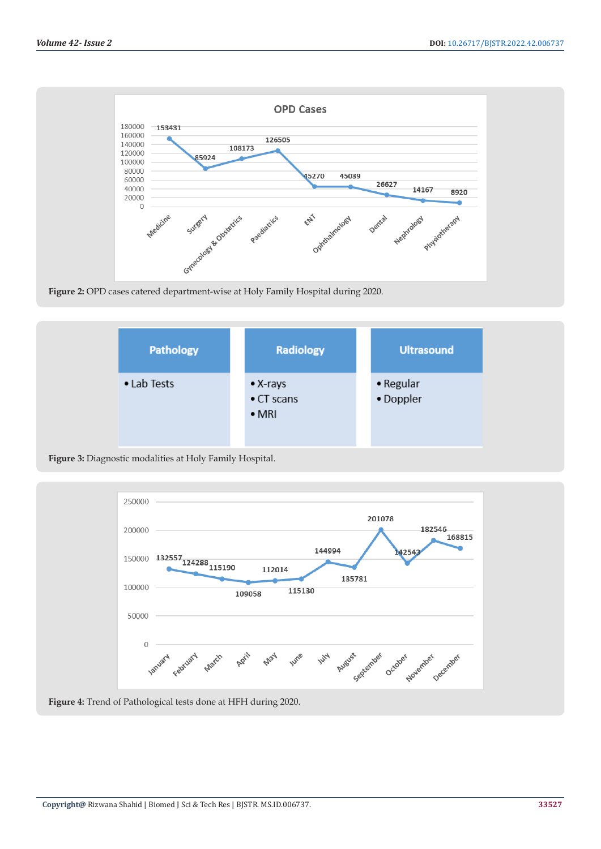

**Figure 2:** OPD cases catered department-wise at Holy Family Hospital during 2020.







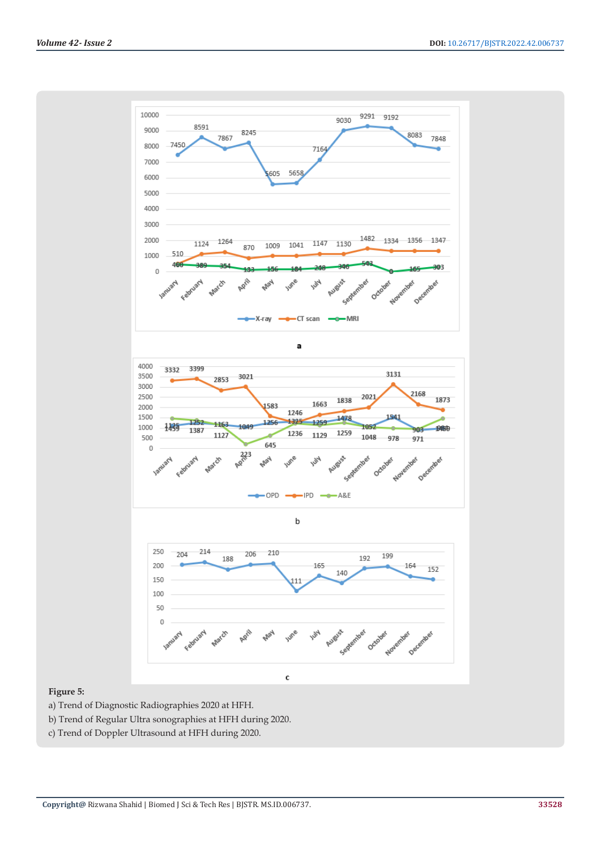

### **Figure 5:**

- a) Trend of Diagnostic Radiographies 2020 at HFH.
- b) Trend of Regular Ultra sonographies at HFH during 2020.
- c) Trend of Doppler Ultrasound at HFH during 2020.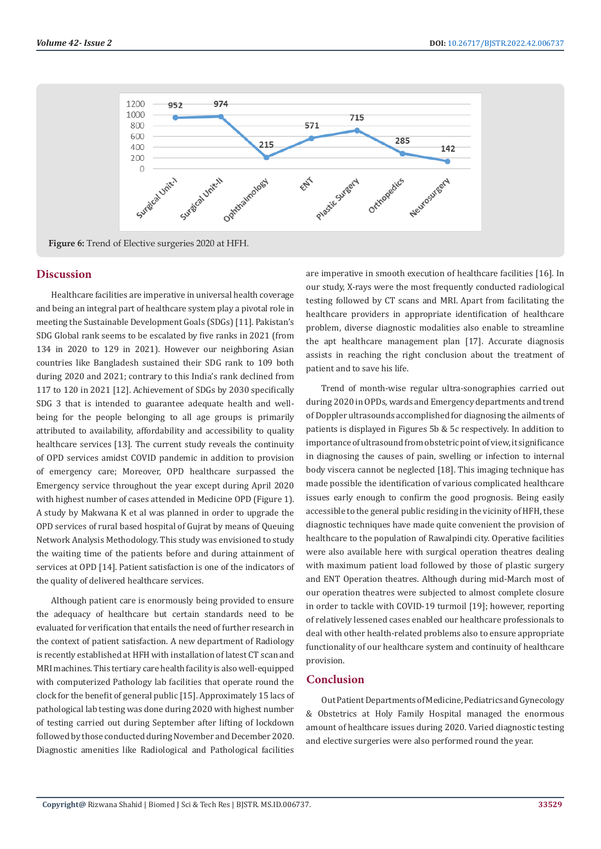

#### **Discussion**

Healthcare facilities are imperative in universal health coverage and being an integral part of healthcare system play a pivotal role in meeting the Sustainable Development Goals (SDGs) [11]. Pakistan's SDG Global rank seems to be escalated by five ranks in 2021 (from 134 in 2020 to 129 in 2021). However our neighboring Asian countries like Bangladesh sustained their SDG rank to 109 both during 2020 and 2021; contrary to this India's rank declined from 117 to 120 in 2021 [12]. Achievement of SDGs by 2030 specifically SDG 3 that is intended to guarantee adequate health and wellbeing for the people belonging to all age groups is primarily attributed to availability, affordability and accessibility to quality healthcare services [13]. The current study reveals the continuity of OPD services amidst COVID pandemic in addition to provision of emergency care; Moreover, OPD healthcare surpassed the Emergency service throughout the year except during April 2020 with highest number of cases attended in Medicine OPD (Figure 1). A study by Makwana K et al was planned in order to upgrade the OPD services of rural based hospital of Gujrat by means of Queuing Network Analysis Methodology. This study was envisioned to study the waiting time of the patients before and during attainment of services at OPD [14]. Patient satisfaction is one of the indicators of the quality of delivered healthcare services.

Although patient care is enormously being provided to ensure the adequacy of healthcare but certain standards need to be evaluated for verification that entails the need of further research in the context of patient satisfaction. A new department of Radiology is recently established at HFH with installation of latest CT scan and MRI machines. This tertiary care health facility is also well-equipped with computerized Pathology lab facilities that operate round the clock for the benefit of general public [15]. Approximately 15 lacs of pathological lab testing was done during 2020 with highest number of testing carried out during September after lifting of lockdown followed by those conducted during November and December 2020. Diagnostic amenities like Radiological and Pathological facilities

are imperative in smooth execution of healthcare facilities [16]. In our study, X-rays were the most frequently conducted radiological testing followed by CT scans and MRI. Apart from facilitating the healthcare providers in appropriate identification of healthcare problem, diverse diagnostic modalities also enable to streamline the apt healthcare management plan [17]. Accurate diagnosis assists in reaching the right conclusion about the treatment of patient and to save his life.

Trend of month-wise regular ultra-sonographies carried out during 2020 in OPDs, wards and Emergency departments and trend of Doppler ultrasounds accomplished for diagnosing the ailments of patients is displayed in Figures 5b & 5c respectively. In addition to importance of ultrasound from obstetric point of view, it significance in diagnosing the causes of pain, swelling or infection to internal body viscera cannot be neglected [18]. This imaging technique has made possible the identification of various complicated healthcare issues early enough to confirm the good prognosis. Being easily accessible to the general public residing in the vicinity of HFH, these diagnostic techniques have made quite convenient the provision of healthcare to the population of Rawalpindi city. Operative facilities were also available here with surgical operation theatres dealing with maximum patient load followed by those of plastic surgery and ENT Operation theatres. Although during mid-March most of our operation theatres were subjected to almost complete closure in order to tackle with COVID-19 turmoil [19]; however, reporting of relatively lessened cases enabled our healthcare professionals to deal with other health-related problems also to ensure appropriate functionality of our healthcare system and continuity of healthcare provision.

#### **Conclusion**

Out Patient Departments of Medicine, Pediatrics and Gynecology & Obstetrics at Holy Family Hospital managed the enormous amount of healthcare issues during 2020. Varied diagnostic testing and elective surgeries were also performed round the year.